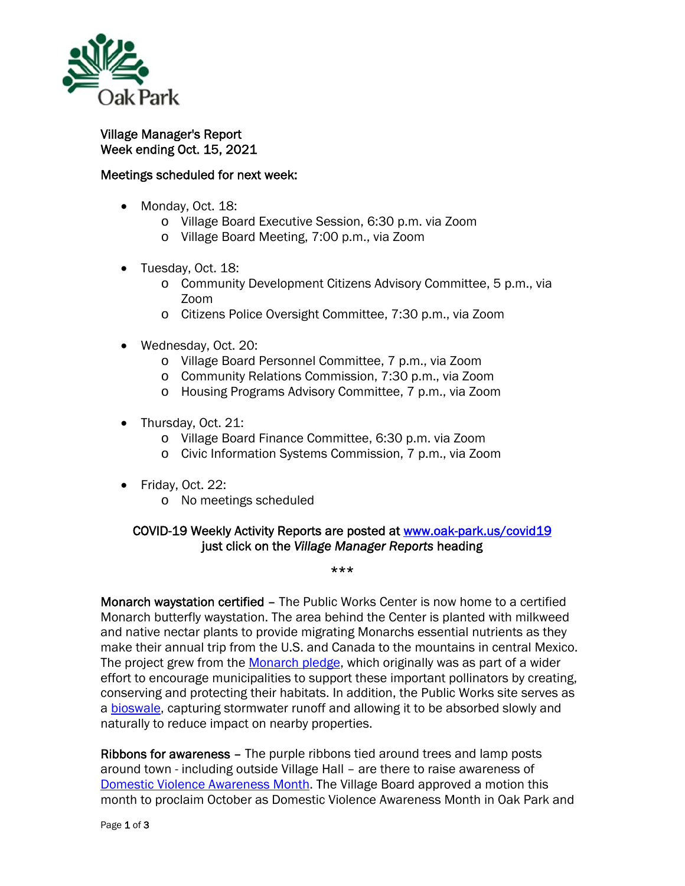

## Village Manager's Report Week ending Oct. 15, 2021

## Meetings scheduled for next week:

- Monday, Oct. 18:
	- o Village Board Executive Session, 6:30 p.m. via Zoom
	- o Village Board Meeting, 7:00 p.m., via Zoom
- Tuesday, Oct. 18:
	- o Community Development Citizens Advisory Committee, 5 p.m., via Zoom
	- o Citizens Police Oversight Committee, 7:30 p.m., via Zoom
- Wednesday, Oct. 20:
	- o Village Board Personnel Committee, 7 p.m., via Zoom
	- o Community Relations Commission, 7:30 p.m., via Zoom
	- o Housing Programs Advisory Committee, 7 p.m., via Zoom
- Thursday, Oct. 21:
	- o Village Board Finance Committee, 6:30 p.m. via Zoom
	- o Civic Information Systems Commission, 7 p.m., via Zoom
- Friday, Oct. 22:
	- o No meetings scheduled

## COVID-19 Weekly Activity Reports are posted at www.oak-park.us/covid19 just click on the *Village Manager Reports* heading

## \*\*\*

Monarch waystation certified – The Public Works Center is now home to a certified Monarch butterfly waystation. The area behind the Center is planted with milkweed and native nectar plants to provide migrating Monarchs essential nutrients as they make their annual trip from the U.S. and Canada to the mountains in central Mexico. The project grew from the Monarch pledge, which originally was as part of a wider effort to encourage municipalities to support these important pollinators by creating, conserving and protecting their habitats. In addition, the Public Works site serves as a bioswale, capturing stormwater runoff and allowing it to be absorbed slowly and naturally to reduce impact on nearby properties.

Ribbons for awareness – The purple ribbons tied around trees and lamp posts around town - including outside Village Hall – are there to raise awareness of Domestic Violence Awareness Month. The Village Board approved a motion this month to proclaim October as Domestic Violence Awareness Month in Oak Park and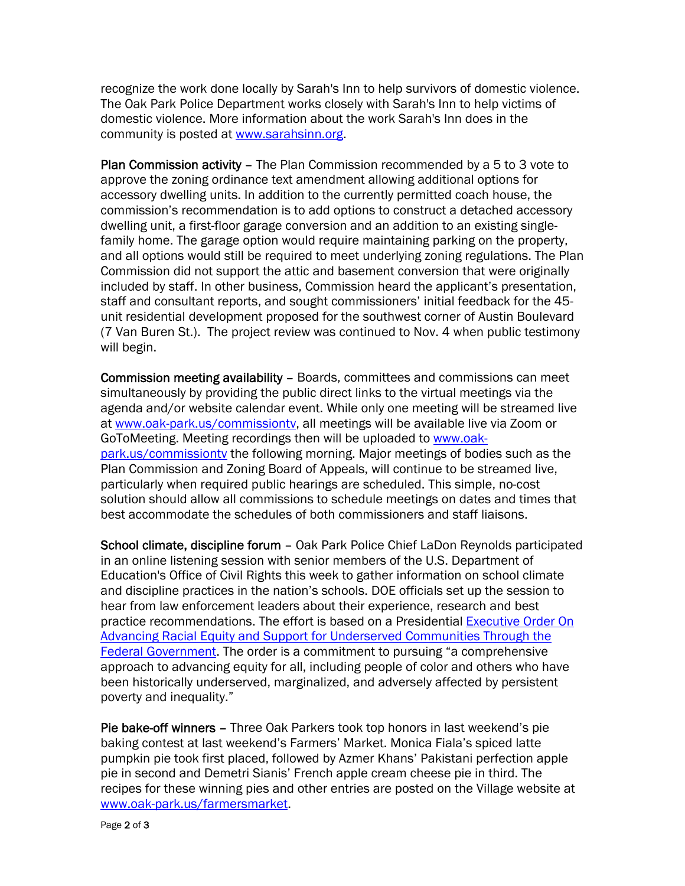recognize the work done locally by Sarah's Inn to help survivors of domestic violence. The Oak Park Police Department works closely with Sarah's Inn to help victims of domestic violence. More information about the work Sarah's Inn does in the community is posted at www.sarahsinn.org.

Plan Commission activity – The Plan Commission recommended by a 5 to 3 vote to approve the zoning ordinance text amendment allowing additional options for accessory dwelling units. In addition to the currently permitted coach house, the commission's recommendation is to add options to construct a detached accessory dwelling unit, a first-floor garage conversion and an addition to an existing singlefamily home. The garage option would require maintaining parking on the property, and all options would still be required to meet underlying zoning regulations. The Plan Commission did not support the attic and basement conversion that were originally included by staff. In other business, Commission heard the applicant's presentation, staff and consultant reports, and sought commissioners' initial feedback for the 45 unit residential development proposed for the southwest corner of Austin Boulevard (7 Van Buren St.). The project review was continued to Nov. 4 when public testimony will begin.

Commission meeting availability – Boards, committees and commissions can meet simultaneously by providing the public direct links to the virtual meetings via the agenda and/or website calendar event. While only one meeting will be streamed live at www.oak-park.us/commissiontv, all meetings will be available live via Zoom or GoToMeeting. Meeting recordings then will be uploaded to www.oakpark.us/commissiontv the following morning. Major meetings of bodies such as the Plan Commission and Zoning Board of Appeals, will continue to be streamed live, particularly when required public hearings are scheduled. This simple, no-cost solution should allow all commissions to schedule meetings on dates and times that best accommodate the schedules of both commissioners and staff liaisons.

School climate, discipline forum – Oak Park Police Chief LaDon Reynolds participated in an online listening session with senior members of the U.S. Department of Education's Office of Civil Rights this week to gather information on school climate and discipline practices in the nation's schools. DOE officials set up the session to hear from law enforcement leaders about their experience, research and best practice recommendations. The effort is based on a Presidential **Executive Order On** Advancing Racial Equity and Support for Underserved Communities Through the Federal Government. The order is a commitment to pursuing "a comprehensive approach to advancing equity for all, including people of color and others who have been historically underserved, marginalized, and adversely affected by persistent poverty and inequality."

Pie bake-off winners – Three Oak Parkers took top honors in last weekend's pie baking contest at last weekend's Farmers' Market. Monica Fiala's spiced latte pumpkin pie took first placed, followed by Azmer Khans' Pakistani perfection apple pie in second and Demetri Sianis' French apple cream cheese pie in third. The recipes for these winning pies and other entries are posted on the Village website at www.oak-park.us/farmersmarket.